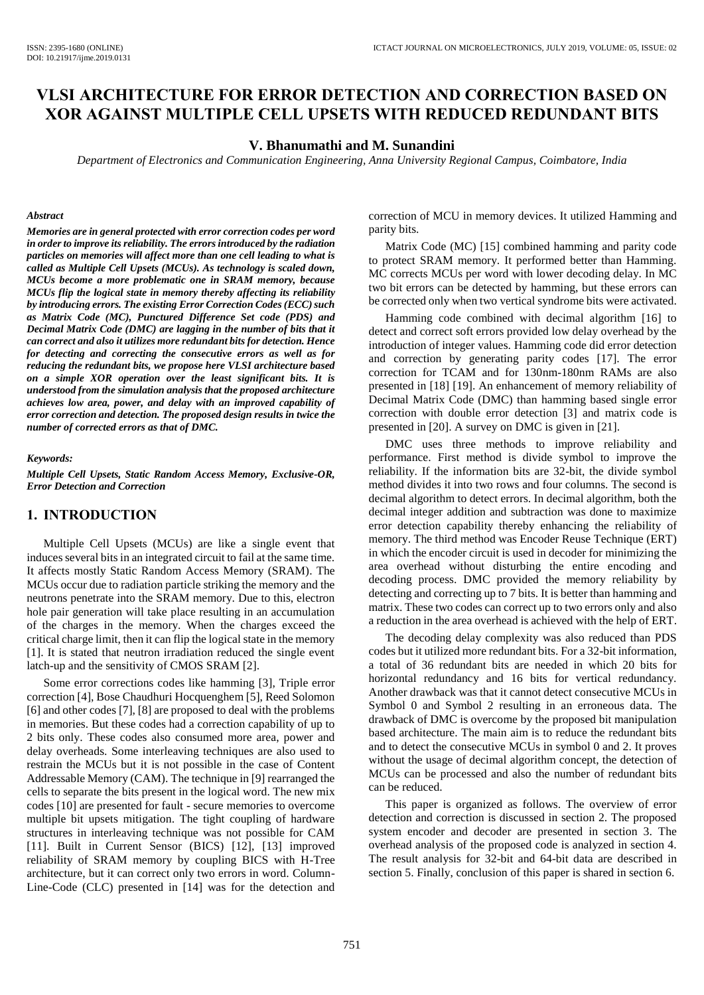# **VLSI ARCHITECTURE FOR ERROR DETECTION AND CORRECTION BASED ON XOR AGAINST MULTIPLE CELL UPSETS WITH REDUCED REDUNDANT BITS**

#### **V. Bhanumathi and M. Sunandini**

*Department of Electronics and Communication Engineering, Anna University Regional Campus, Coimbatore, India*

#### *Abstract*

*Memories are in general protected with error correction codes per word in order to improve its reliability. The errors introduced by the radiation particles on memories will affect more than one cell leading to what is called as Multiple Cell Upsets (MCUs). As technology is scaled down, MCUs become a more problematic one in SRAM memory, because MCUs flip the logical state in memory thereby affecting its reliability by introducing errors. The existing Error Correction Codes (ECC) such as Matrix Code (MC), Punctured Difference Set code (PDS) and Decimal Matrix Code (DMC) are lagging in the number of bits that it can correct and also it utilizes more redundant bits for detection. Hence for detecting and correcting the consecutive errors as well as for reducing the redundant bits, we propose here VLSI architecture based on a simple XOR operation over the least significant bits. It is understood from the simulation analysis that the proposed architecture achieves low area, power, and delay with an improved capability of error correction and detection. The proposed design results in twice the number of corrected errors as that of DMC.*

#### *Keywords:*

*Multiple Cell Upsets, Static Random Access Memory, Exclusive-OR, Error Detection and Correction*

### **1. INTRODUCTION**

Multiple Cell Upsets (MCUs) are like a single event that induces several bits in an integrated circuit to fail at the same time. It affects mostly Static Random Access Memory (SRAM). The MCUs occur due to radiation particle striking the memory and the neutrons penetrate into the SRAM memory. Due to this, electron hole pair generation will take place resulting in an accumulation of the charges in the memory. When the charges exceed the critical charge limit, then it can flip the logical state in the memory [1]. It is stated that neutron irradiation reduced the single event latch-up and the sensitivity of CMOS SRAM [2].

Some error corrections codes like hamming [3], Triple error correction [4], Bose Chaudhuri Hocquenghem [5], Reed Solomon [6] and other codes [7], [8] are proposed to deal with the problems in memories. But these codes had a correction capability of up to 2 bits only. These codes also consumed more area, power and delay overheads. Some interleaving techniques are also used to restrain the MCUs but it is not possible in the case of Content Addressable Memory (CAM). The technique in [9] rearranged the cells to separate the bits present in the logical word. The new mix codes [10] are presented for fault - secure memories to overcome multiple bit upsets mitigation. The tight coupling of hardware structures in interleaving technique was not possible for CAM [11]. Built in Current Sensor (BICS) [12], [13] improved reliability of SRAM memory by coupling BICS with H-Tree architecture, but it can correct only two errors in word. Column-Line-Code (CLC) presented in [14] was for the detection and correction of MCU in memory devices. It utilized Hamming and parity bits.

Matrix Code (MC) [15] combined hamming and parity code to protect SRAM memory. It performed better than Hamming. MC corrects MCUs per word with lower decoding delay. In MC two bit errors can be detected by hamming, but these errors can be corrected only when two vertical syndrome bits were activated.

Hamming code combined with decimal algorithm [16] to detect and correct soft errors provided low delay overhead by the introduction of integer values. Hamming code did error detection and correction by generating parity codes [17]. The error correction for TCAM and for 130nm-180nm RAMs are also presented in [18] [19]. An enhancement of memory reliability of Decimal Matrix Code (DMC) than hamming based single error correction with double error detection [3] and matrix code is presented in [20]. A survey on DMC is given in [21].

DMC uses three methods to improve reliability and performance. First method is divide symbol to improve the reliability. If the information bits are 32-bit, the divide symbol method divides it into two rows and four columns. The second is decimal algorithm to detect errors. In decimal algorithm, both the decimal integer addition and subtraction was done to maximize error detection capability thereby enhancing the reliability of memory. The third method was Encoder Reuse Technique (ERT) in which the encoder circuit is used in decoder for minimizing the area overhead without disturbing the entire encoding and decoding process. DMC provided the memory reliability by detecting and correcting up to 7 bits. It is better than hamming and matrix. These two codes can correct up to two errors only and also a reduction in the area overhead is achieved with the help of ERT.

The decoding delay complexity was also reduced than PDS codes but it utilized more redundant bits. For a 32-bit information, a total of 36 redundant bits are needed in which 20 bits for horizontal redundancy and 16 bits for vertical redundancy. Another drawback was that it cannot detect consecutive MCUs in Symbol 0 and Symbol 2 resulting in an erroneous data. The drawback of DMC is overcome by the proposed bit manipulation based architecture. The main aim is to reduce the redundant bits and to detect the consecutive MCUs in symbol 0 and 2. It proves without the usage of decimal algorithm concept, the detection of MCUs can be processed and also the number of redundant bits can be reduced.

This paper is organized as follows. The overview of error detection and correction is discussed in section 2. The proposed system encoder and decoder are presented in section 3. The overhead analysis of the proposed code is analyzed in section 4. The result analysis for 32-bit and 64-bit data are described in section 5. Finally, conclusion of this paper is shared in section 6.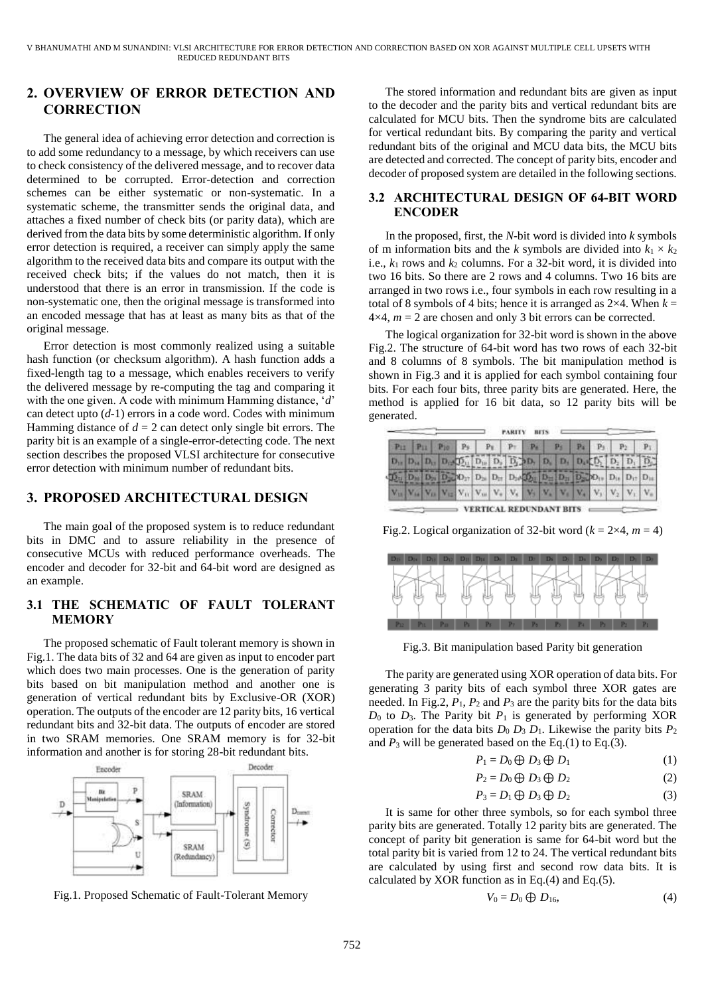## **2. OVERVIEW OF ERROR DETECTION AND CORRECTION**

The general idea of achieving error detection and correction is to add some redundancy to a message, by which receivers can use to check consistency of the delivered message, and to recover data determined to be corrupted. Error-detection and correction schemes can be either systematic or non-systematic. In a systematic scheme, the transmitter sends the original data, and attaches a fixed number of check bits (or parity data), which are derived from the data bits by some deterministic algorithm. If only error detection is required, a receiver can simply apply the same algorithm to the received data bits and compare its output with the received check bits; if the values do not match, then it is understood that there is an error in transmission. If the code is non-systematic one, then the original message is transformed into an encoded message that has at least as many bits as that of the original message.

Error detection is most commonly realized using a suitable hash function (or checksum algorithm). A hash function adds a fixed-length tag to a message, which enables receivers to verify the delivered message by re-computing the tag and comparing it with the one given. A code with minimum Hamming distance, '*d*' can detect upto (*d-*1) errors in a code word. Codes with minimum Hamming distance of  $d = 2$  can detect only single bit errors. The parity bit is an example of a single-error-detecting code. The next section describes the proposed VLSI architecture for consecutive error detection with minimum number of redundant bits.

### **3. PROPOSED ARCHITECTURAL DESIGN**

The main goal of the proposed system is to reduce redundant bits in DMC and to assure reliability in the presence of consecutive MCUs with reduced performance overheads. The encoder and decoder for 32-bit and 64-bit word are designed as an example.

### **3.1 THE SCHEMATIC OF FAULT TOLERANT MEMORY**

The proposed schematic of Fault tolerant memory is shown in Fig.1. The data bits of 32 and 64 are given as input to encoder part which does two main processes. One is the generation of parity bits based on bit manipulation method and another one is generation of vertical redundant bits by Exclusive-OR (XOR) operation. The outputs of the encoder are 12 parity bits, 16 vertical redundant bits and 32-bit data. The outputs of encoder are stored in two SRAM memories. One SRAM memory is for 32-bit information and another is for storing 28-bit redundant bits.



Fig.1. Proposed Schematic of Fault-Tolerant Memory

The stored information and redundant bits are given as input to the decoder and the parity bits and vertical redundant bits are calculated for MCU bits. Then the syndrome bits are calculated for vertical redundant bits. By comparing the parity and vertical redundant bits of the original and MCU data bits, the MCU bits are detected and corrected. The concept of parity bits, encoder and decoder of proposed system are detailed in the following sections.

### **3.2 ARCHITECTURAL DESIGN OF 64-BIT WORD ENCODER**

In the proposed, first, the *N*-bit word is divided into *k* symbols of m information bits and the *k* symbols are divided into  $k_1 \times k_2$ i.e.,  $k_1$  rows and  $k_2$  columns. For a 32-bit word, it is divided into two 16 bits. So there are 2 rows and 4 columns. Two 16 bits are arranged in two rows i.e., four symbols in each row resulting in a total of 8 symbols of 4 bits; hence it is arranged as  $2\times 4$ . When  $k =$  $4\times4$ ,  $m = 2$  are chosen and only 3 bit errors can be corrected.

The logical organization for 32-bit word is shown in the above Fig.2. The structure of 64-bit word has two rows of each 32-bit and 8 columns of 8 symbols. The bit manipulation method is shown in Fig.3 and it is applied for each symbol containing four bits. For each four bits, three parity bits are generated. Here, the method is applied for 16 bit data, so 12 parity bits will be generated.

|  | PH PH Pio Ps Pr Pr Ps Ps Ps P3 P2 P1                                                                                                                                                                                                                                                                                                                                                                                                                                                                                         |  |  |  |  |  |  |
|--|------------------------------------------------------------------------------------------------------------------------------------------------------------------------------------------------------------------------------------------------------------------------------------------------------------------------------------------------------------------------------------------------------------------------------------------------------------------------------------------------------------------------------|--|--|--|--|--|--|
|  | $D_{11}$ $D_{12}$ $D_{13}$ $D_{12}$ $D_{21}$ $D_{10}$ $D_{11}$ $D_{12}$ $D_{21}$ $D_{21}$ $D_{21}$ $D_{21}$ $D_{21}$ $D_{22}$ $D_{21}$ $D_{22}$                                                                                                                                                                                                                                                                                                                                                                              |  |  |  |  |  |  |
|  | $\widetilde{\mathbf{D}_{11}}\widetilde{\mathbf{D}_{21}}\widetilde{\mathbf{D}_{21}}\widetilde{\mathbf{D}_{22}}\widetilde{\mathbf{D}_{21}}\widetilde{\mathbf{D}_{22}}\widetilde{\mathbf{D}_{21}}\widetilde{\mathbf{D}_{21}}\widetilde{\mathbf{D}_{22}}\widetilde{\mathbf{D}_{21}}\widetilde{\mathbf{D}_{22}}\widetilde{\mathbf{D}_{21}}\widetilde{\mathbf{D}_{22}}\widetilde{\mathbf{D}_{11}}\widetilde{\mathbf{D}_{12}}\widetilde{\mathbf{D}_{12}}\widetilde{\mathbf{D}_{12$                                                  |  |  |  |  |  |  |
|  | $\mathbf{V}_{\mathrm{H}} \begin{bmatrix} \mathbf{V}_{\mathrm{H}} \end{bmatrix} \mathbf{V}_{\mathrm{H}} \begin{bmatrix} \mathbf{V}_{\mathrm{H}} \end{bmatrix} \mathbf{V}_{\mathrm{H}} \begin{bmatrix} \mathbf{V}_{\mathrm{e}} \end{bmatrix} \mathbf{V}_{\mathrm{e}} \begin{bmatrix} \mathbf{V}_{\mathrm{e}} \end{bmatrix} \mathbf{V}_{\mathrm{e}} \begin{bmatrix} \mathbf{V}_{\mathrm{e}} \end{bmatrix} \mathbf{V}_{\mathrm{e}} \begin{bmatrix} \mathbf{V}_{\mathrm{e}} \end{bmatrix} \mathbf{V}_{\mathrm{I}} \begin{bmatrix$ |  |  |  |  |  |  |

Fig.2. Logical organization of 32-bit word ( $k = 2 \times 4$ ,  $m = 4$ )



Fig.3. Bit manipulation based Parity bit generation

The parity are generated using XOR operation of data bits. For generating 3 parity bits of each symbol three XOR gates are needed. In Fig.2,  $P_1$ ,  $P_2$  and  $P_3$  are the parity bits for the data bits  $D_0$  to  $D_3$ . The Parity bit  $P_1$  is generated by performing XOR operation for the data bits  $D_0 D_3 D_1$ . Likewise the parity bits  $P_2$ and  $P_3$  will be generated based on the Eq.(1) to Eq.(3).

$$
P_1 = D_0 \bigoplus D_3 \bigoplus D_1 \tag{1}
$$

 $P_2 = D_0 \bigoplus D_3 \bigoplus D_2$  (2)

$$
P_3 = D_1 \oplus D_3 \oplus D_2 \tag{3}
$$

It is same for other three symbols, so for each symbol three parity bits are generated. Totally 12 parity bits are generated. The concept of parity bit generation is same for 64-bit word but the total parity bit is varied from 12 to 24. The vertical redundant bits are calculated by using first and second row data bits. It is calculated by XOR function as in Eq.(4) and Eq.(5).

$$
V_0 = D_0 \bigoplus D_{16},\tag{4}
$$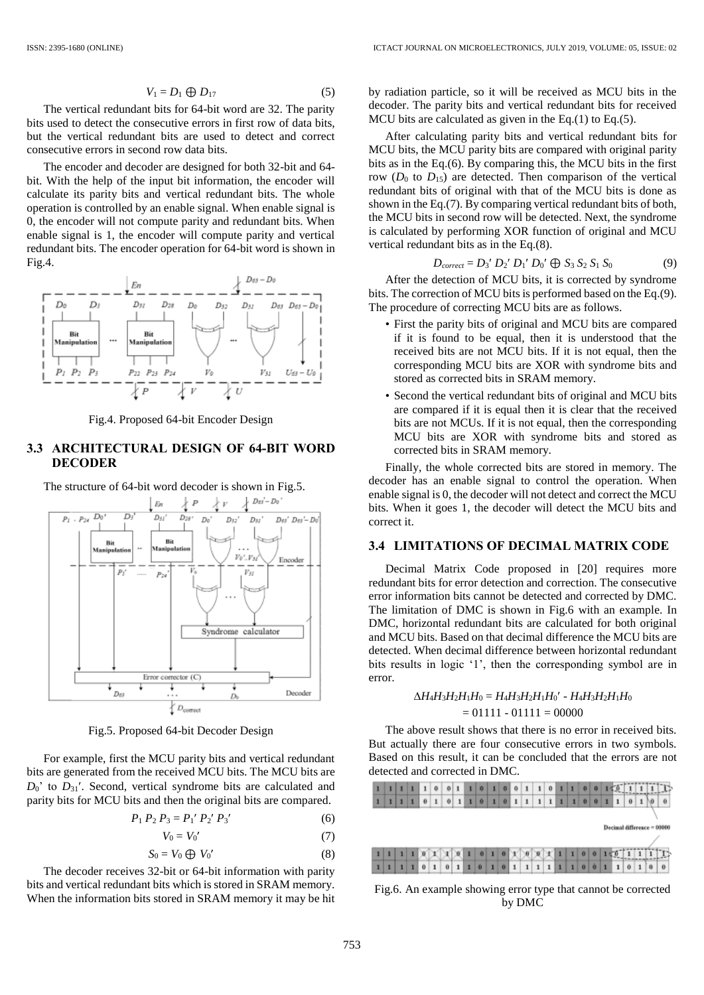$$
V_1 = D_1 \oplus D_{17} \tag{5}
$$

The vertical redundant bits for 64-bit word are 32. The parity bits used to detect the consecutive errors in first row of data bits, but the vertical redundant bits are used to detect and correct consecutive errors in second row data bits.

The encoder and decoder are designed for both 32-bit and 64 bit. With the help of the input bit information, the encoder will calculate its parity bits and vertical redundant bits. The whole operation is controlled by an enable signal. When enable signal is 0, the encoder will not compute parity and redundant bits. When enable signal is 1, the encoder will compute parity and vertical redundant bits. The encoder operation for 64-bit word is shown in Fig.4.



Fig.4. Proposed 64-bit Encoder Design

### **3.3 ARCHITECTURAL DESIGN OF 64-BIT WORD DECODER**

The structure of 64-bit word decoder is shown in Fig.5.



Fig.5. Proposed 64-bit Decoder Design

For example, first the MCU parity bits and vertical redundant bits are generated from the received MCU bits. The MCU bits are  $D_0$ ' to  $D_{31}$ '. Second, vertical syndrome bits are calculated and parity bits for MCU bits and then the original bits are compared.

$$
P_1 P_2 P_3 = P_1' P_2' P_3'
$$
 (6)

$$
V_0 = V_0'
$$
 (7)

$$
S_0 = V_0 \bigoplus V_0' \tag{8}
$$

The decoder receives 32-bit or 64-bit information with parity bits and vertical redundant bits which is stored in SRAM memory. When the information bits stored in SRAM memory it may be hit by radiation particle, so it will be received as MCU bits in the decoder. The parity bits and vertical redundant bits for received MCU bits are calculated as given in the Eq.(1) to Eq.(5).

After calculating parity bits and vertical redundant bits for MCU bits, the MCU parity bits are compared with original parity bits as in the Eq.(6). By comparing this, the MCU bits in the first row  $(D_0$  to  $D_{15}$ ) are detected. Then comparison of the vertical redundant bits of original with that of the MCU bits is done as shown in the Eq.(7). By comparing vertical redundant bits of both, the MCU bits in second row will be detected. Next, the syndrome is calculated by performing XOR function of original and MCU vertical redundant bits as in the Eq.(8).

$$
D_{correct} = D_3' D_2' D_1' D_0' \oplus S_3 S_2 S_1 S_0 \tag{9}
$$

After the detection of MCU bits, it is corrected by syndrome bits. The correction of MCU bits is performed based on the Eq.(9). The procedure of correcting MCU bits are as follows.

- First the parity bits of original and MCU bits are compared if it is found to be equal, then it is understood that the received bits are not MCU bits. If it is not equal, then the corresponding MCU bits are XOR with syndrome bits and stored as corrected bits in SRAM memory.
- Second the vertical redundant bits of original and MCU bits are compared if it is equal then it is clear that the received bits are not MCUs. If it is not equal, then the corresponding MCU bits are XOR with syndrome bits and stored as corrected bits in SRAM memory.

Finally, the whole corrected bits are stored in memory. The decoder has an enable signal to control the operation. When enable signal is 0, the decoder will not detect and correct the MCU bits. When it goes 1, the decoder will detect the MCU bits and correct it.

#### **3.4 LIMITATIONS OF DECIMAL MATRIX CODE**

Decimal Matrix Code proposed in [20] requires more redundant bits for error detection and correction. The consecutive error information bits cannot be detected and corrected by DMC. The limitation of DMC is shown in Fig.6 with an example. In DMC, horizontal redundant bits are calculated for both original and MCU bits. Based on that decimal difference the MCU bits are detected. When decimal difference between horizontal redundant bits results in logic '1', then the corresponding symbol are in error.

### $\Delta H_4 H_3 H_2 H_1 H_0 = H_4 H_3 H_2 H_1 H_0' - H_4 H_3 H_2 H_1 H_0$  $= 01111 - 01111 = 00000$

The above result shows that there is no error in received bits. But actually there are four consecutive errors in two symbols. Based on this result, it can be concluded that the errors are not detected and corrected in DMC.

|  |  | 1 | $\mathbf{1}$ | $\theta$ | $\bf{0}$ | $\mathbf{1}$ | 1 | $\bf{0}$ | ı | $\bf{0}$ | $\bf{0}$     | $-1$ | $\mathbf{1}$ | $\boldsymbol{0}$ | 1 | $\vert$ 1 | $\bf{0}$ | $\bf{0}$ |   |                    |          |   |          |
|--|--|---|--------------|----------|----------|--------------|---|----------|---|----------|--------------|------|--------------|------------------|---|-----------|----------|----------|---|--------------------|----------|---|----------|
|  |  | 1 | $\bf{0}$     | $\bf{1}$ | 0        |              |   | 0        | 1 | $\bf{0}$ | $\mathbf{1}$ | 1    | $\mathbf{1}$ | ì                |   | 1         | $\bf{0}$ | 0        | 1 | 1                  | $\theta$ |   | $\bf{0}$ |
|  |  |   |              |          |          |              |   |          |   |          |              |      |              |                  |   |           |          |          |   |                    |          |   |          |
|  |  |   |              |          |          |              |   |          |   |          |              |      |              |                  |   |           |          |          |   | Decimal difference |          |   |          |
|  |  |   |              |          |          |              |   |          |   |          |              |      |              |                  |   |           |          |          |   |                    |          |   |          |
|  |  |   |              |          |          |              |   |          |   |          |              |      |              |                  |   |           |          |          |   |                    |          |   |          |
|  |  |   |              |          |          |              |   |          |   |          |              |      |              |                  |   |           | 0        |          |   |                    |          | 1 |          |

Fig.6. An example showing error type that cannot be corrected by DMC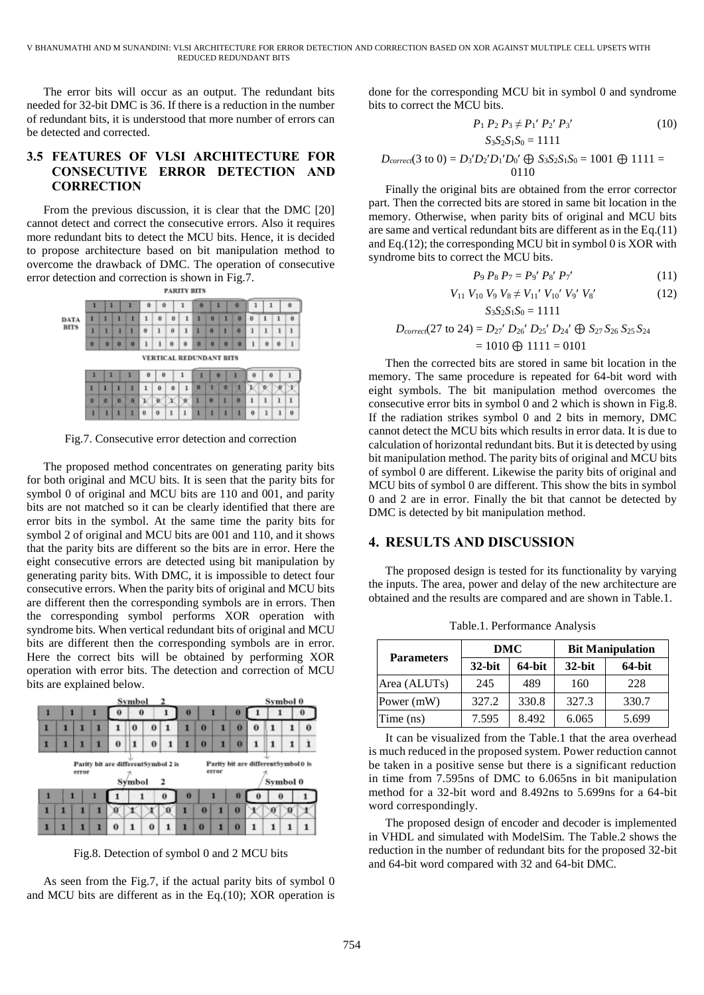The error bits will occur as an output. The redundant bits needed for 32-bit DMC is 36. If there is a reduction in the number of redundant bits, it is understood that more number of errors can be detected and corrected.

### **3.5 FEATURES OF VLSI ARCHITECTURE FOR CONSECUTIVE ERROR DETECTION AND CORRECTION**

From the previous discussion, it is clear that the DMC [20] cannot detect and correct the consecutive errors. Also it requires more redundant bits to detect the MCU bits. Hence, it is decided to propose architecture based on bit manipulation method to overcome the drawback of DMC. The operation of consecutive error detection and correction is shown in Fig.7.



Fig.7. Consecutive error detection and correction

The proposed method concentrates on generating parity bits for both original and MCU bits. It is seen that the parity bits for symbol 0 of original and MCU bits are 110 and 001, and parity bits are not matched so it can be clearly identified that there are error bits in the symbol. At the same time the parity bits for symbol 2 of original and MCU bits are 001 and 110, and it shows that the parity bits are different so the bits are in error. Here the eight consecutive errors are detected using bit manipulation by generating parity bits. With DMC, it is impossible to detect four consecutive errors. When the parity bits of original and MCU bits are different then the corresponding symbols are in errors. Then the corresponding symbol performs XOR operation with syndrome bits. When vertical redundant bits of original and MCU bits are different then the corresponding symbols are in error. Here the correct bits will be obtained by performing XOR operation with error bits. The detection and correction of MCU bits are explained below.

|   |                                                                                                                                   |  |   |         | Symbol   |          |   |          |          |  |          |   | Symbol 0 |  |          |
|---|-----------------------------------------------------------------------------------------------------------------------------------|--|---|---------|----------|----------|---|----------|----------|--|----------|---|----------|--|----------|
|   | п                                                                                                                                 |  |   | o       | $\bf{0}$ |          |   | $\bf{0}$ |          |  | $\bf{o}$ |   |          |  | 10       |
|   |                                                                                                                                   |  | п |         | 0        | Ū        |   |          | $\bf{0}$ |  | $\bf{0}$ | 0 |          |  | $\bf{0}$ |
|   |                                                                                                                                   |  | п | $\bf o$ | 1        | $\bf{0}$ | 1 | п        | $\bf{0}$ |  | $\bf{0}$ | 1 | 1        |  |          |
|   | Parity bit are differentSymbol0 is<br>Parity bit are differentSymbol 2 is<br>error<br>error<br>Symbol 0<br>Symbol<br>$\mathbf{r}$ |  |   |         |          |          |   |          |          |  |          |   |          |  |          |
| 1 | 1                                                                                                                                 |  |   |         |          |          | 0 | $\bf{0}$ |          |  | 0        | 0 | $\bf{0}$ |  |          |
|   |                                                                                                                                   |  |   |         |          |          |   |          | $\bf{0}$ |  | $\bf{0}$ |   |          |  |          |
|   |                                                                                                                                   |  |   | 0       | 1        | $\bf{0}$ |   |          | $\bf{0}$ |  | $\bf{0}$ | 1 |          |  |          |

Fig.8. Detection of symbol 0 and 2 MCU bits

As seen from the Fig.7, if the actual parity bits of symbol 0 and MCU bits are different as in the Eq.(10); XOR operation is done for the corresponding MCU bit in symbol 0 and syndrome bits to correct the MCU bits.

$$
P_1 P_2 P_3 \neq P_1' P_2' P_3'
$$
  
\n
$$
S_3 S_2 S_1 S_0 = 1111
$$
 (10)

$$
D_{correct}(3 \text{ to } 0) = D_3' D_2' D_1' D_0' \oplus S_3 S_2 S_1 S_0 = 1001 \oplus 1111 = 0110
$$

Finally the original bits are obtained from the error corrector part. Then the corrected bits are stored in same bit location in the memory. Otherwise, when parity bits of original and MCU bits are same and vertical redundant bits are different as in the Eq.(11) and Eq.(12); the corresponding MCU bit in symbol 0 is XOR with syndrome bits to correct the MCU bits.

$$
P_9 \, P_8 \, P_7 = P_9' \, P_8' \, P_7' \tag{11}
$$

$$
V_{11} V_{10} V_9 V_8 \neq V_{11}' V_{10}' V_9' V_8'
$$
 (12)  

$$
S_3 S_2 S_1 S_0 = 1111
$$

$$
D_{correct}(27 \text{ to } 24) = D_{27}^{\prime} D_{26}^{\prime} D_{25}^{\prime} D_{24}^{\prime} \bigoplus S_{27} S_{26} S_{25} S_{24}
$$

$$
= 1010 \bigoplus 1111 = 0101
$$

Then the corrected bits are stored in same bit location in the memory. The same procedure is repeated for 64-bit word with eight symbols. The bit manipulation method overcomes the consecutive error bits in symbol 0 and 2 which is shown in Fig.8. If the radiation strikes symbol 0 and 2 bits in memory, DMC cannot detect the MCU bits which results in error data. It is due to calculation of horizontal redundant bits. But it is detected by using bit manipulation method. The parity bits of original and MCU bits of symbol 0 are different. Likewise the parity bits of original and MCU bits of symbol 0 are different. This show the bits in symbol 0 and 2 are in error. Finally the bit that cannot be detected by DMC is detected by bit manipulation method.

### **4. RESULTS AND DISCUSSION**

The proposed design is tested for its functionality by varying the inputs. The area, power and delay of the new architecture are obtained and the results are compared and are shown in Table.1.

|                   | DMC       |        | <b>Bit Manipulation</b> |        |  |  |  |
|-------------------|-----------|--------|-------------------------|--------|--|--|--|
| <b>Parameters</b> | $32$ -bit | 64-bit | $32$ -bit               | 64-bit |  |  |  |
| Area (ALUTs)      | 245       | 489    | 160                     | 228    |  |  |  |
| Power (mW)        | 327.2     | 330.8  | 327.3                   | 330.7  |  |  |  |
| Time (ns)         | 7.595     | 8.492  | 6.065                   | 5.699  |  |  |  |

Table.1. Performance Analysis

It can be visualized from the Table.1 that the area overhead is much reduced in the proposed system. Power reduction cannot be taken in a positive sense but there is a significant reduction in time from 7.595ns of DMC to 6.065ns in bit manipulation method for a 32-bit word and 8.492ns to 5.699ns for a 64-bit word correspondingly.

The proposed design of encoder and decoder is implemented in VHDL and simulated with ModelSim. The Table.2 shows the reduction in the number of redundant bits for the proposed 32-bit and 64-bit word compared with 32 and 64-bit DMC.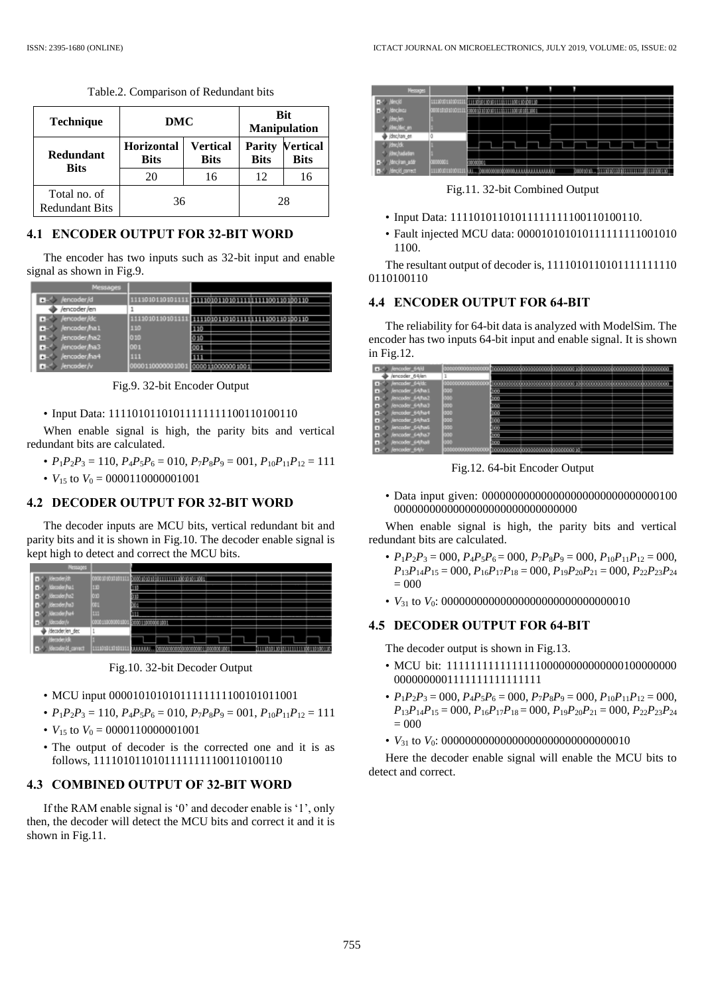| <b>Technique</b>                      | DMC                              |                         |                       | <b>Bit</b><br><b>Manipulation</b> |  |  |
|---------------------------------------|----------------------------------|-------------------------|-----------------------|-----------------------------------|--|--|
| Redundant<br><b>Bits</b>              | <b>Horizontal</b><br><b>Bits</b> | Vertical<br><b>Bits</b> | Parity<br><b>Bits</b> | <b>Vertical</b><br><b>Bits</b>    |  |  |
|                                       | 20                               | 16                      | 12                    | 16                                |  |  |
| Total no. of<br><b>Redundant Bits</b> | 36                               |                         | 28                    |                                   |  |  |

Table.2. Comparison of Redundant bits

### **4.1 ENCODER OUTPUT FOR 32-BIT WORD**

The encoder has two inputs such as 32-bit input and enable signal as shown in Fig.9.

| Messages         |                  |      |  |     |
|------------------|------------------|------|--|-----|
| /encoder/d       | 1111010110101111 |      |  | 110 |
| /encoder/en      |                  |      |  |     |
| /encoder/dc      | 101011010111     |      |  |     |
| B- /encoder/ha1  | 110              |      |  |     |
| D- /encoder/ha2  | 010              | 10   |  |     |
| D-4 /encoder/ha3 | 001              | ו ממ |  |     |
| d- /encoder/ha+  | 111              |      |  |     |
| Jencoder Ar      |                  |      |  |     |

Fig.9. 32-bit Encoder Output

• Input Data: 11110101101011111111100110100110

When enable signal is high, the parity bits and vertical redundant bits are calculated.

- $P_1P_2P_3 = 110$ ,  $P_4P_5P_6 = 010$ ,  $P_7P_8P_9 = 001$ ,  $P_{10}P_{11}P_{12} = 111$
- $V_{15}$  to  $V_0 = 0000110000001001$

### **4.2 DECODER OUTPUT FOR 32-BIT WORD**

The decoder inputs are MCU bits, vertical redundant bit and parity bits and it is shown in Fig.10. The decoder enable signal is kept high to detect and correct the MCU bits.

| <b><i>DESTROYERS</i></b> |                        |                  |                              |  |  |  |
|--------------------------|------------------------|------------------|------------------------------|--|--|--|
| D- locaderich            | 2006/08/09 09:01:11    |                  | 0000000000000000000000000000 |  |  |  |
| D-1 Minoder/to:L         | 110                    |                  |                              |  |  |  |
| B-1 /decoder/to2         | oro                    |                  |                              |  |  |  |
| B-1 Kecoder had          | <b>COL</b>             |                  |                              |  |  |  |
| D-1 Kecoder/ha4          | ш                      |                  |                              |  |  |  |
| (decoder/v<br>Ŀ.         | 0000110000001001       | 2030110000081001 |                              |  |  |  |
| /decoder/en_dec          |                        |                  |                              |  |  |  |
| / /decader/dk            |                        |                  |                              |  |  |  |
| <b>Mecoder/d_carrect</b> | <b>E11001013010111</b> |                  |                              |  |  |  |

Fig.10. 32-bit Decoder Output

#### • MCU input 00001010101011111111100101011001

- $P_1P_2P_3 = 110$ ,  $P_4P_5P_6 = 010$ ,  $P_7P_8P_9 = 001$ ,  $P_{10}P_{11}P_{12} = 111$
- $V_{15}$  to  $V_0 = 0000110000001001$
- The output of decoder is the corrected one and it is as follows, 11110101101011111111100110100110

## **4.3 COMBINED OUTPUT OF 32-BIT WORD**

If the RAM enable signal is '0' and decoder enable is '1', only then, the decoder will detect the MCU bits and correct it and it is shown in Fig.11.



Fig.11. 32-bit Combined Output

- Input Data: 11110101101011111111100110100110.
- Fault injected MCU data: 000010101010111111111001010 1100.

The resultant output of decoder is, 1111010110101111111110 0110100110

### **4.4 ENCODER OUTPUT FOR 64-BIT**

The reliability for 64-bit data is analyzed with ModelSim. The encoder has two inputs 64-bit input and enable signal. It is shown in Fig.12.

| encoder 64/d                 |             |   |  |  |  |
|------------------------------|-------------|---|--|--|--|
| /encoder_64/en               |             |   |  |  |  |
| Jencoder_64/dc               |             |   |  |  |  |
| / Jencoder_64/ha L           | œ           | m |  |  |  |
| B- /encoder_64/ha2           | ∽<br>ш      | m |  |  |  |
| Jencoder_64/ha3              | 996         |   |  |  |  |
| / jencoder_64/ha4            | 335         |   |  |  |  |
| B / Jancodar_54/ha5          | 000         |   |  |  |  |
| <b>Martin Standard Lines</b> | œ           |   |  |  |  |
| <b>Excluder 64/ha7</b>       | w<br>$\sim$ | m |  |  |  |
| Jencoder_64/ha8              | -<br>ca     | m |  |  |  |
| <b>Jennyder 64W</b>          |             |   |  |  |  |

Fig.12. 64-bit Encoder Output

• Data input given: 000000000000000000000000000000100 0000000000000000000000000000000

When enable signal is high, the parity bits and vertical redundant bits are calculated.

- $P_1P_2P_3 = 000$ ,  $P_4P_5P_6 = 000$ ,  $P_7P_8P_9 = 000$ ,  $P_{10}P_{11}P_{12} = 000$ , *P*13*P*14*P*<sup>15</sup> = 000, *P*16*P*17*P*<sup>18</sup> = 000, *P*19*P*20*P*<sup>21</sup> = 000, *P*22*P*23*P*<sup>24</sup> = 000
- *V*<sup>31</sup> to *V*0: 00000000000000000000000000000010

### **4.5 DECODER OUTPUT FOR 64-BIT**

The decoder output is shown in Fig.13.

- MCU bit: 111111111111111100000000000000100000000 0000000001111111111111111
- $P_1P_2P_3 = 000$ ,  $P_4P_5P_6 = 000$ ,  $P_7P_8P_9 = 000$ ,  $P_{10}P_{11}P_{12} = 000$ ,  $P_{13}P_{14}P_{15} = 000$ ,  $P_{16}P_{17}P_{18} = 000$ ,  $P_{19}P_{20}P_{21} = 000$ ,  $P_{22}P_{23}P_{24}$  $= 000$
- *V*<sup>31</sup> to *V*0: 00000000000000000000000000000010

Here the decoder enable signal will enable the MCU bits to detect and correct.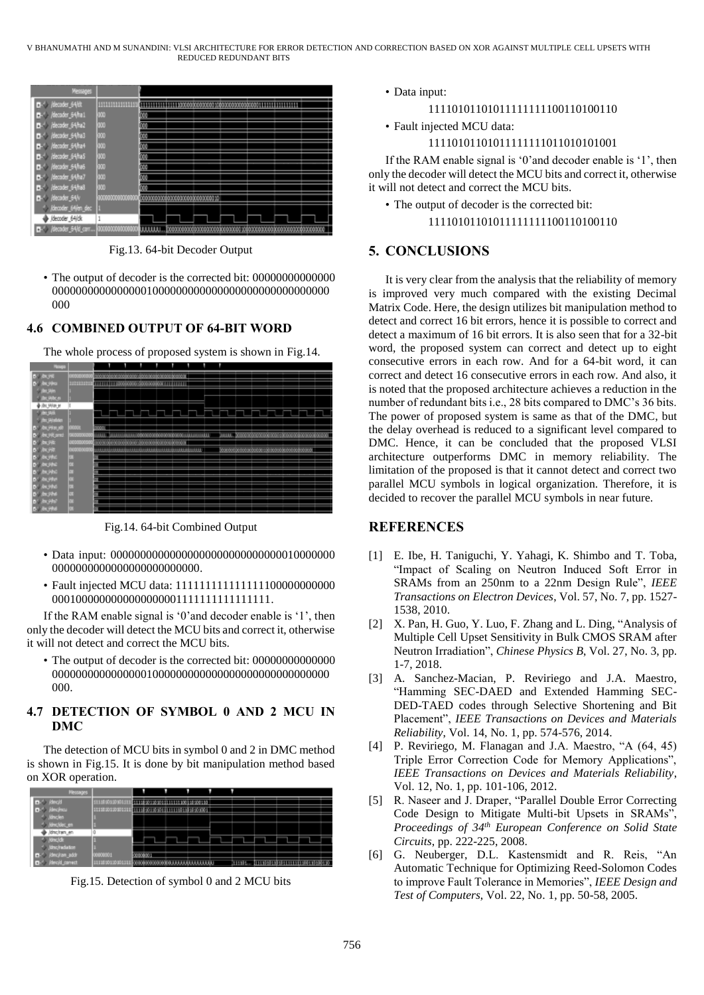

Fig.13. 64-bit Decoder Output

• The output of decoder is the corrected bit: 00000000000000 00000000000000001000000000000000000000000000000 000

## **4.6 COMBINED OUTPUT OF 64-BIT WORD**

The whole process of proposed system is shown in Fig.14.



Fig.14. 64-bit Combined Output

- Data input: 00000000000000000000000000000010000000 0000000000000000000000000.
- Fault injected MCU data: 111111111111111100000000000 0001000000000000000001111111111111111.

If the RAM enable signal is '0'and decoder enable is '1', then only the decoder will detect the MCU bits and correct it, otherwise it will not detect and correct the MCU bits.

• The output of decoder is the corrected bit: 00000000000000 00000000000000001000000000000000000000000000000 000.

## **4.7 DETECTION OF SYMBOL 0 AND 2 MCU IN DMC**

The detection of MCU bits in symbol 0 and 2 in DMC method is shown in Fig.15. It is done by bit manipulation method based on XOR operation.

| <b>Messages</b>    |                  | ۵       | н                                     |  | п             |  |  |
|--------------------|------------------|---------|---------------------------------------|--|---------------|--|--|
| <b>B-1 strold</b>  | 11100012010111   |         | 11110001000111111110001000010         |  |               |  |  |
| <b>D-1 Hinches</b> | 1111010110101111 |         | <b>HELFORGORIENERIN HEGOGE</b>        |  |               |  |  |
| 1. Januar          |                  |         |                                       |  |               |  |  |
| /dwcldec.en        |                  |         |                                       |  |               |  |  |
| Jónchan en         |                  |         |                                       |  |               |  |  |
| <b>S Kinclok</b>   |                  |         |                                       |  |               |  |  |
| 4 / Ringfredation  |                  |         |                                       |  |               |  |  |
| B-1 /dec/an_addr   | 000000001        | 1000000 |                                       |  |               |  |  |
| De /decid_conect   | 1111010110101111 |         | 2020/02/02/02/03 11:11:11:11:11:11:11 |  | <b>CITATE</b> |  |  |

Fig.15. Detection of symbol 0 and 2 MCU bits

• Data input:

## 11110101101011111111100110100110

- Fault injected MCU data:
	- 11110101101011111111011010101001

If the RAM enable signal is '0'and decoder enable is '1', then only the decoder will detect the MCU bits and correct it, otherwise it will not detect and correct the MCU bits.

• The output of decoder is the corrected bit:

## 11110101101011111111100110100110

# **5. CONCLUSIONS**

It is very clear from the analysis that the reliability of memory is improved very much compared with the existing Decimal Matrix Code. Here, the design utilizes bit manipulation method to detect and correct 16 bit errors, hence it is possible to correct and detect a maximum of 16 bit errors. It is also seen that for a 32-bit word, the proposed system can correct and detect up to eight consecutive errors in each row. And for a 64-bit word, it can correct and detect 16 consecutive errors in each row. And also, it is noted that the proposed architecture achieves a reduction in the number of redundant bits i.e., 28 bits compared to DMC's 36 bits. The power of proposed system is same as that of the DMC, but the delay overhead is reduced to a significant level compared to DMC. Hence, it can be concluded that the proposed VLSI architecture outperforms DMC in memory reliability. The limitation of the proposed is that it cannot detect and correct two parallel MCU symbols in logical organization. Therefore, it is decided to recover the parallel MCU symbols in near future.

### **REFERENCES**

- [1] E. Ibe, H. Taniguchi, Y. Yahagi, K. Shimbo and T. Toba, "Impact of Scaling on Neutron Induced Soft Error in SRAMs from an 250nm to a 22nm Design Rule", *IEEE Transactions on Electron Devices*, Vol. 57, No. 7, pp. 1527- 1538, 2010.
- [2] X. Pan, H. Guo, Y. Luo, F. Zhang and L. Ding, "Analysis of Multiple Cell Upset Sensitivity in Bulk CMOS SRAM after Neutron Irradiation", *Chinese Physics B*, Vol. 27, No. 3, pp. 1-7, 2018.
- [3] A. Sanchez-Macian, P. Reviriego and J.A. Maestro, "Hamming SEC-DAED and Extended Hamming SEC-DED-TAED codes through Selective Shortening and Bit Placement", *IEEE Transactions on Devices and Materials Reliability*, Vol. 14, No. 1, pp. 574-576, 2014.
- [4] P. Reviriego, M. Flanagan and J.A. Maestro, "A (64, 45) Triple Error Correction Code for Memory Applications", *IEEE Transactions on Devices and Materials Reliability*, Vol. 12, No. 1, pp. 101-106, 2012.
- [5] R. Naseer and J. Draper, "Parallel Double Error Correcting Code Design to Mitigate Multi-bit Upsets in SRAMs", *Proceedings of 34th European Conference on Solid State Circuits*, pp. 222-225, 2008.
- [6] G. Neuberger, D.L. Kastensmidt and R. Reis, "An Automatic Technique for Optimizing Reed-Solomon Codes to improve Fault Tolerance in Memories", *IEEE Design and Test of Computers*, Vol. 22, No. 1, pp. 50-58, 2005.